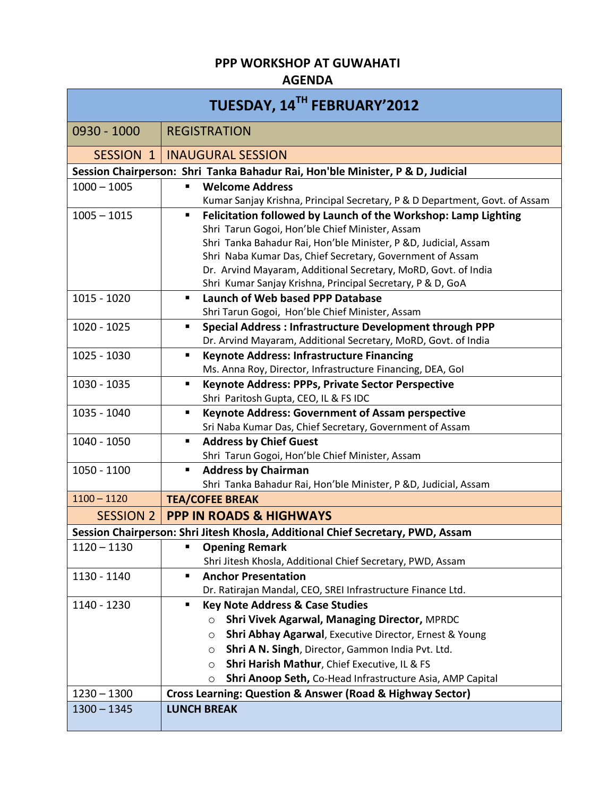## **PPP WORKSHOP AT GUWAHATI**

## **AGENDA**

| TUESDAY, 14TH FEBRUARY'2012                                                    |                                                                                     |  |
|--------------------------------------------------------------------------------|-------------------------------------------------------------------------------------|--|
| 0930 - 1000                                                                    | <b>REGISTRATION</b>                                                                 |  |
|                                                                                | <b>SESSION 1   INAUGURAL SESSION</b>                                                |  |
| Session Chairperson: Shri Tanka Bahadur Rai, Hon'ble Minister, P & D, Judicial |                                                                                     |  |
| $1000 - 1005$                                                                  | <b>Welcome Address</b>                                                              |  |
|                                                                                | Kumar Sanjay Krishna, Principal Secretary, P & D Department, Govt. of Assam         |  |
| $1005 - 1015$                                                                  | Felicitation followed by Launch of the Workshop: Lamp Lighting<br>٠                 |  |
|                                                                                | Shri Tarun Gogoi, Hon'ble Chief Minister, Assam                                     |  |
|                                                                                | Shri Tanka Bahadur Rai, Hon'ble Minister, P &D, Judicial, Assam                     |  |
|                                                                                | Shri Naba Kumar Das, Chief Secretary, Government of Assam                           |  |
|                                                                                | Dr. Arvind Mayaram, Additional Secretary, MoRD, Govt. of India                      |  |
|                                                                                | Shri Kumar Sanjay Krishna, Principal Secretary, P & D, GoA<br>٠                     |  |
| 1015 - 1020                                                                    | Launch of Web based PPP Database<br>Shri Tarun Gogoi, Hon'ble Chief Minister, Assam |  |
| $1020 - 1025$                                                                  | <b>Special Address: Infrastructure Development through PPP</b><br>٠.                |  |
|                                                                                | Dr. Arvind Mayaram, Additional Secretary, MoRD, Govt. of India                      |  |
| 1025 - 1030                                                                    | <b>Keynote Address: Infrastructure Financing</b><br>٠                               |  |
|                                                                                | Ms. Anna Roy, Director, Infrastructure Financing, DEA, Gol                          |  |
| 1030 - 1035                                                                    | Keynote Address: PPPs, Private Sector Perspective<br>٠                              |  |
|                                                                                | Shri Paritosh Gupta, CEO, IL & FS IDC                                               |  |
| 1035 - 1040                                                                    | <b>Keynote Address: Government of Assam perspective</b><br>٠                        |  |
|                                                                                | Sri Naba Kumar Das, Chief Secretary, Government of Assam                            |  |
| 1040 - 1050                                                                    | <b>Address by Chief Guest</b>                                                       |  |
|                                                                                | Shri Tarun Gogoi, Hon'ble Chief Minister, Assam                                     |  |
| 1050 - 1100                                                                    | <b>Address by Chairman</b><br>٠                                                     |  |
|                                                                                | Shri Tanka Bahadur Rai, Hon'ble Minister, P &D, Judicial, Assam                     |  |
| $1100 - 1120$                                                                  | <b>TEA/COFEE BREAK</b>                                                              |  |
| <b>SESSION 2</b>                                                               | <b>PPP IN ROADS &amp; HIGHWAYS</b>                                                  |  |
|                                                                                | Session Chairperson: Shri Jitesh Khosla, Additional Chief Secretary, PWD, Assam     |  |
| $1120 - 1130$                                                                  | ٠<br><b>Opening Remark</b>                                                          |  |
|                                                                                | Shri Jitesh Khosla, Additional Chief Secretary, PWD, Assam                          |  |
| 1130 - 1140                                                                    | <b>Anchor Presentation</b><br>٠                                                     |  |
|                                                                                | Dr. Ratirajan Mandal, CEO, SREI Infrastructure Finance Ltd.                         |  |
| 1140 - 1230                                                                    | <b>Key Note Address &amp; Case Studies</b><br>٠                                     |  |
|                                                                                | Shri Vivek Agarwal, Managing Director, MPRDC<br>$\circ$                             |  |
|                                                                                | Shri Abhay Agarwal, Executive Director, Ernest & Young<br>$\circ$                   |  |
|                                                                                | Shri A N. Singh, Director, Gammon India Pvt. Ltd.<br>$\circ$                        |  |
|                                                                                | Shri Harish Mathur, Chief Executive, IL & FS<br>$\circ$                             |  |
|                                                                                | Shri Anoop Seth, Co-Head Infrastructure Asia, AMP Capital<br>O                      |  |
| $1230 - 1300$                                                                  | Cross Learning: Question & Answer (Road & Highway Sector)                           |  |
| $1300 - 1345$                                                                  | <b>LUNCH BREAK</b>                                                                  |  |